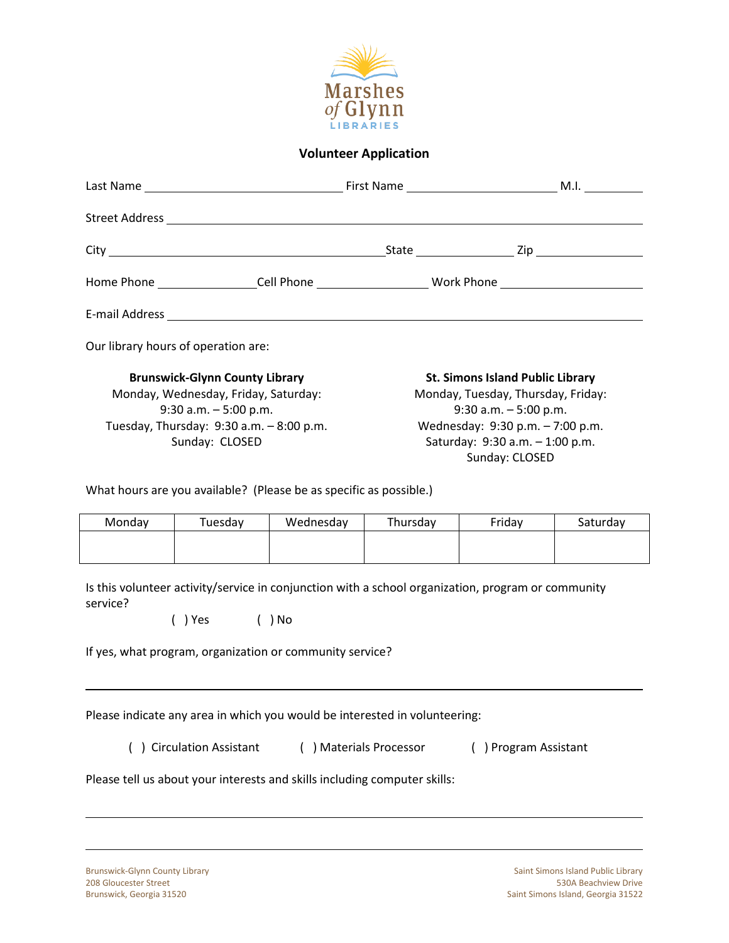

## **Volunteer Application**

|                                                                                                                                                                                                                                        |                                     |           | Home Phone __________________Cell Phone __________________________Work Phone ____________________________                                                                                          |        |          |  |
|----------------------------------------------------------------------------------------------------------------------------------------------------------------------------------------------------------------------------------------|-------------------------------------|-----------|----------------------------------------------------------------------------------------------------------------------------------------------------------------------------------------------------|--------|----------|--|
|                                                                                                                                                                                                                                        |                                     |           |                                                                                                                                                                                                    |        |          |  |
|                                                                                                                                                                                                                                        | Our library hours of operation are: |           |                                                                                                                                                                                                    |        |          |  |
| <b>Brunswick-Glynn County Library</b><br>Monday, Wednesday, Friday, Saturday:<br>$9:30$ a.m. $-5:00$ p.m.<br>Tuesday, Thursday: 9:30 a.m. - 8:00 p.m.<br>Sunday: CLOSED                                                                |                                     |           | <b>St. Simons Island Public Library</b><br>Monday, Tuesday, Thursday, Friday:<br>$9:30$ a.m. $-5:00$ p.m.<br>Wednesday: 9:30 p.m. - 7:00 p.m.<br>Saturday: 9:30 a.m. - 1:00 p.m.<br>Sunday: CLOSED |        |          |  |
| What hours are you available? (Please be as specific as possible.)                                                                                                                                                                     |                                     |           |                                                                                                                                                                                                    |        |          |  |
| Monday                                                                                                                                                                                                                                 | Tuesday                             | Wednesday | Thursday                                                                                                                                                                                           | Friday | Saturday |  |
|                                                                                                                                                                                                                                        |                                     |           |                                                                                                                                                                                                    |        |          |  |
| Is this volunteer activity/service in conjunction with a school organization, program or community<br>service?<br>() Yes () No<br>If yes, what program, organization or community service?                                             |                                     |           |                                                                                                                                                                                                    |        |          |  |
| Please indicate any area in which you would be interested in volunteering:<br>() Circulation Assistant<br>( ) Materials Processor<br>() Program Assistant<br>Please tell us about your interests and skills including computer skills: |                                     |           |                                                                                                                                                                                                    |        |          |  |